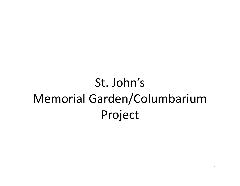# St. John's Memorial Garden/Columbarium Project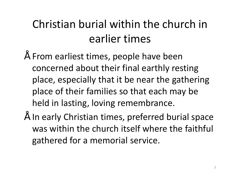### Christian burial within the church in earlier times

- From earliest times, people have been concerned about their final earthly resting place, especially that it be near the gathering place of their families so that each may be held in lasting, loving remembrance.
- In early Christian times, preferred burial space was within the church itself where the faithful gathered for a memorial service.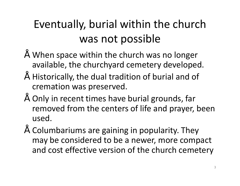## Eventually, burial within the church was not possible

- When space within the church was no longer available, the churchyard cemetery developed.
- Historically, the dual tradition of burial and of cremation was preserved.
- Only in recent times have burial grounds, far removed from the centers of life and prayer, been used.
- Columbariums are gaining in popularity. They may be considered to be a newer, more compact and cost effective version of the church cemetery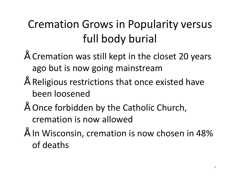### Cremation Grows in Popularity versus full body burial

- Cremation was still kept in the closet 20 years ago but is now going mainstream
- Religious restrictions that once existed have been loosened
- Once forbidden by the Catholic Church, cremation is now allowed
- In Wisconsin, cremation is now chosen in 48% of deaths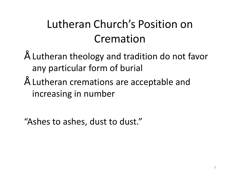### Lutheran Church's Position on Cremation

- Lutheran theology and tradition do not favor any particular form of burial
- Lutheran cremations are acceptable and increasing in number

"Ashes to ashes, dust to dust."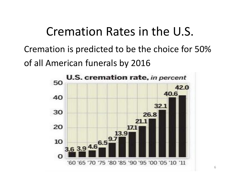### Cremation Rates in the U.S.

Cremation is predicted to be the choice for 50% of all American funerals by 2016

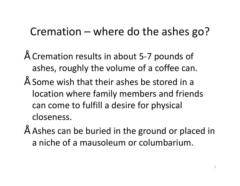### Cremation – where do the ashes go?

- Cremation results in about 5-7 pounds of ashes, roughly the volume of a coffee can.
- Some wish that their ashes be stored in a location where family members and friends can come to fulfill a desire for physical closeness.
- Ashes can be buried in the ground or placed in a niche of a mausoleum or columbarium.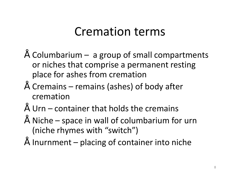### Cremation terms

- $"$  Columbarium  $-$  a group of small compartments or niches that comprise a permanent resting place for ashes from cremation
- Cremains remains (ashes) of body after cremation
- $"$  Urn container that holds the cremains
- Niche space in wall of columbarium for urn (niche rhymes with "switch")
- $\degree$  Inurnment placing of container into niche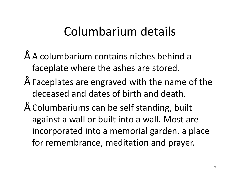## Columbarium details

- A columbarium contains niches behind a faceplate where the ashes are stored.
- Faceplates are engraved with the name of the deceased and dates of birth and death.
- Columbariums can be self standing, built against a wall or built into a wall. Most are incorporated into a memorial garden, a place for remembrance, meditation and prayer.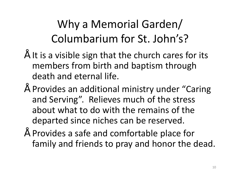Why a Memorial Garden/ Columbarium for St. John's?

- $\tilde{ }$  It is a visible sign that the church cares for its members from birth and baptism through death and eternal life.
- Provides an additional ministry under "Caring and Serving". Relieves much of the stress about what to do with the remains of the departed since niches can be reserved.
- Provides a safe and comfortable place for family and friends to pray and honor the dead.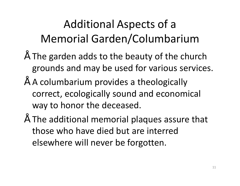## Additional Aspects of a Memorial Garden/Columbarium

- $\degree$  The garden adds to the beauty of the church grounds and may be used for various services.
- A columbarium provides a theologically correct, ecologically sound and economical way to honor the deceased.
- The additional memorial plaques assure that those who have died but are interred elsewhere will never be forgotten.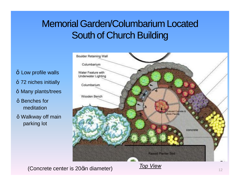### Memorial Garden/Columbarium Located South of Church Building

Low profile walls 72 niches initially Many plants/trees

Benches for meditation

Walkway off main parking lot



**(Concrete center is 20qin diameter)** Top View Top View 12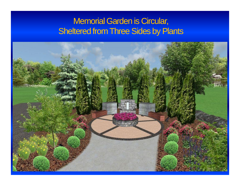### Memorial Garden is Circular, Sheltered from Three Sides by Plants

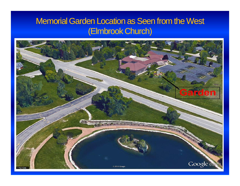### Memorial Garden Location as Seen from the West (Elmbrook Church)

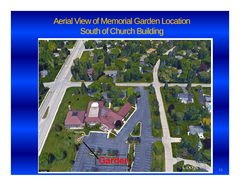### Aerial View of Memorial Garden Location South of Church Building

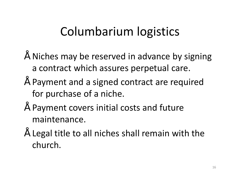### Columbarium logistics

- Niches may be reserved in advance by signing a contract which assures perpetual care.
- Payment and a signed contract are required for purchase of a niche.
- Payment covers initial costs and future maintenance.
- Legal title to all niches shall remain with the church.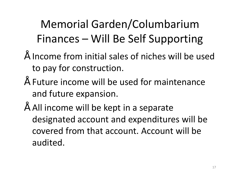## Memorial Garden/Columbarium Finances – Will Be Self Supporting

- Income from initial sales of niches will be used to pay for construction.
- Future income will be used for maintenance and future expansion.
- All income will be kept in a separate designated account and expenditures will be covered from that account. Account will be audited.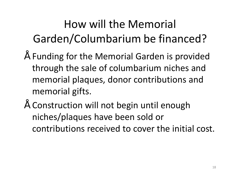## How will the Memorial Garden/Columbarium be financed?

- Funding for the Memorial Garden is provided through the sale of columbarium niches and memorial plaques, donor contributions and memorial gifts.
- Construction will not begin until enough niches/plaques have been sold or contributions received to cover the initial cost.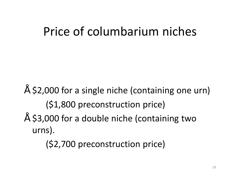## Price of columbarium niches

- $\degree$  \$2,000 for a single niche (containing one urn) (\$1,800 preconstruction price)
- \$3,000 for a double niche (containing two urns).

(\$2,700 preconstruction price)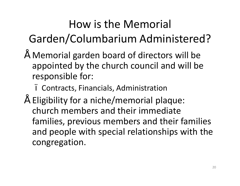## How is the Memorial Garden/Columbarium Administered?

- Memorial garden board of directors will be appointed by the church council and will be responsible for:
	- Contracts, Financials, Administration
- Eligibility for a niche/memorial plaque: church members and their immediate families, previous members and their families and people with special relationships with the congregation.